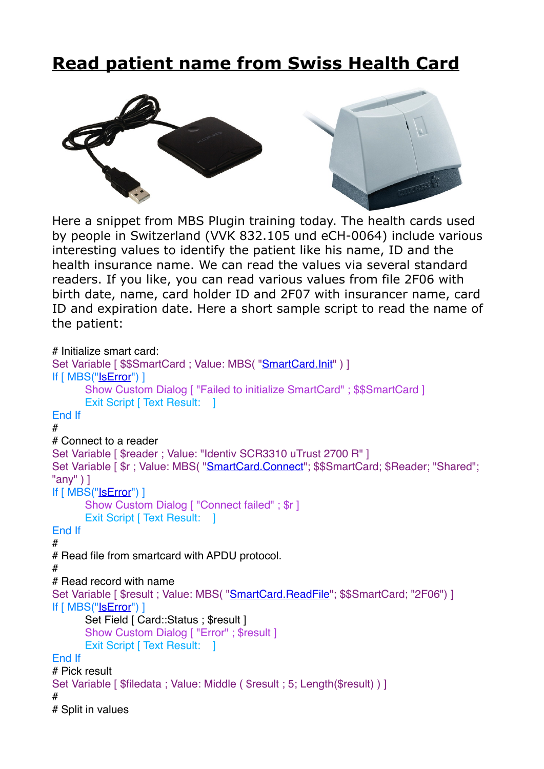## **[Read patient name from Swiss Health Card](https://www.mbs-plugins.com/archive/2019-03-08/Read_patient_name_from_Swiss_H/monkeybreadsoftware_blog_filemaker)**



Here a snippet from MBS Plugin training today. The health cards used by people in Switzerland (VVK 832.105 und eCH-0064) include various interesting values to identify the patient like his name, ID and the health insurance name. We can read the values via several standard readers. If you like, you can read various values from file 2F06 with birth date, name, card holder ID and 2F07 with insurancer name, card ID and expiration date. Here a short sample script to read the name of the patient:

```
# Initialize smart card:
SmartCard.Init" ) ]
If [ MBS("IsError") ]
      Show Custom Dialog [ "Failed to initialize SmartCard" ; $$SmartCard ]
      Exit Script [ Text Result: ]
End If
#
# Connect to a reader
Set Variable [ $reader ; Value: "Identiv SCR3310 uTrust 2700 R" ]
"SmartCard.Connect"; $$SmartCard; $Reader; "Shared";
"any" ) ]
If [ MBS("IsError") ]
      Show Custom Dialog [ "Connect failed" ; $r ]
      Exit Script [ Text Result: ]
End If
#
# Read file from smartcard with APDU protocol.
#
# Read record with name
"SmartCard.ReadFile"; $$SmartCard; "2F06") ]
If [ MBS("IsError") ]
      Set Field [ Card::Status ; $result ]
      Show Custom Dialog [ "Error" ; $result ]
      Exit Script [ Text Result: 1
End If
# Pick result
Set Variable [ $filedata ; Value: Middle ( $result ; 5; Length($result) ) ]
#
# Split in values
```